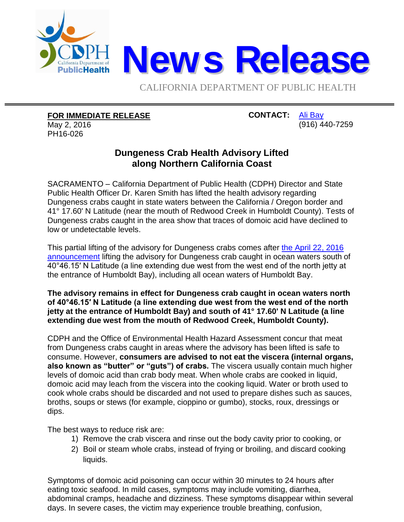

CALIFORNIA DEPARTMENT OF PUBLIC HEALTH

## **FOR IMMEDIATE RELEASE**

May 2, 2016 PH16-026

## **CONTACT:** [Ali Bay](mailto:Ali.Bay@cdph.ca.gov?subject=News%20release) (916) 440-7259

## **Dungeness Crab Health Advisory Lifted along Northern California Coast**

SACRAMENTO – California Department of Public Health (CDPH) Director and State Public Health Officer Dr. Karen Smith has lifted the health advisory regarding Dungeness crabs caught in state waters between the California / Oregon border and 41° 17.60' N Latitude (near the mouth of Redwood Creek in Humboldt County). Tests of Dungeness crabs caught in the area show that traces of domoic acid have declined to low or undetectable levels.

This partial lifting of the advisory for Dungeness crabs comes after [the April 22, 2016](http://www.cdph.ca.gov/Pages/NR16-022.aspx)  [announcement](http://www.cdph.ca.gov/Pages/NR16-022.aspx) lifting the advisory for Dungeness crab caught in ocean waters south of 40°46.15′ N Latitude (a line extending due west from the west end of the north jetty at the entrance of Humboldt Bay), including all ocean waters of Humboldt Bay.

**The advisory remains in effect for Dungeness crab caught in ocean waters north of 40°46.15′ N Latitude (a line extending due west from the west end of the north jetty at the entrance of Humboldt Bay) and south of 41° 17.60' N Latitude (a line extending due west from the mouth of Redwood Creek, Humboldt County).**

CDPH and the Office of Environmental Health Hazard Assessment concur that meat from Dungeness crabs caught in areas where the advisory has been lifted is safe to consume. However, **consumers are advised to not eat the viscera (internal organs, also known as "butter" or "guts") of crabs.** The viscera usually contain much higher levels of domoic acid than crab body meat. When whole crabs are cooked in liquid, domoic acid may leach from the viscera into the cooking liquid. Water or broth used to cook whole crabs should be discarded and not used to prepare dishes such as sauces, broths, soups or stews (for example, cioppino or gumbo), stocks, roux, dressings or dips.

The best ways to reduce risk are:

- 1) Remove the crab viscera and rinse out the body cavity prior to cooking, or
- 2) Boil or steam whole crabs, instead of frying or broiling, and discard cooking liquids.

Symptoms of domoic acid poisoning can occur within 30 minutes to 24 hours after eating toxic seafood. In mild cases, symptoms may include vomiting, diarrhea, abdominal cramps, headache and dizziness. These symptoms disappear within several days. In severe cases, the victim may experience trouble breathing, confusion,